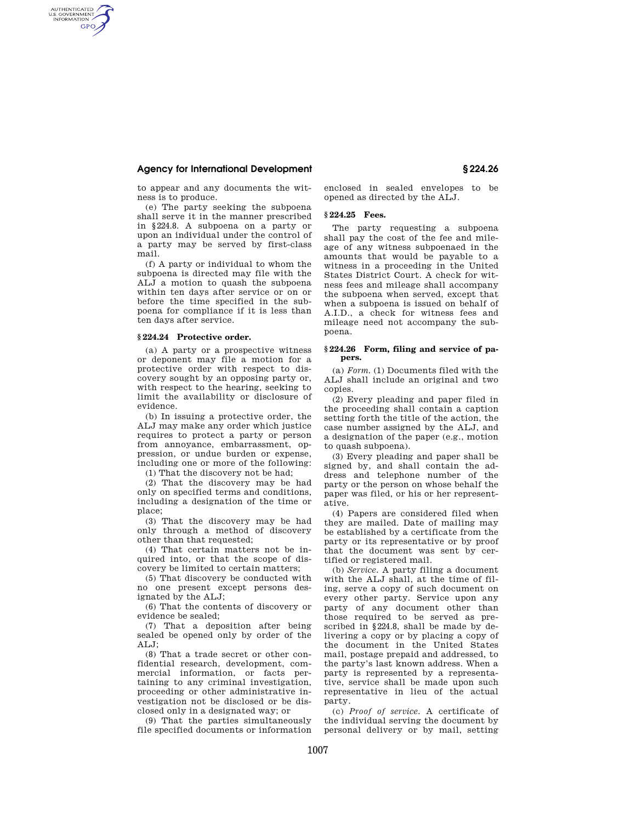## **Agency for International Development § 224.26**

AUTHENTICATED<br>U.S. GOVERNMENT<br>INFORMATION **GPO** 

> to appear and any documents the witness is to produce.

> (e) The party seeking the subpoena shall serve it in the manner prescribed in §224.8. A subpoena on a party or upon an individual under the control of a party may be served by first-class mail.

> (f) A party or individual to whom the subpoena is directed may file with the ALJ a motion to quash the subpoena within ten days after service or on or before the time specified in the subpoena for compliance if it is less than ten days after service.

#### **§ 224.24 Protective order.**

(a) A party or a prospective witness or deponent may file a motion for a protective order with respect to discovery sought by an opposing party or, with respect to the hearing, seeking to limit the availability or disclosure of evidence.

(b) In issuing a protective order, the ALJ may make any order which justice requires to protect a party or person from annoyance, embarrassment, oppression, or undue burden or expense, including one or more of the following:

(1) That the discovery not be had;

(2) That the discovery may be had only on specified terms and conditions, including a designation of the time or place;

(3) That the discovery may be had only through a method of discovery other than that requested;

(4) That certain matters not be inquired into, or that the scope of discovery be limited to certain matters;

(5) That discovery be conducted with no one present except persons designated by the ALJ;

(6) That the contents of discovery or evidence be sealed;

(7) That a deposition after being sealed be opened only by order of the  $ATJ:$ 

(8) That a trade secret or other confidential research, development, commercial information, or facts pertaining to any criminal investigation, proceeding or other administrative investigation not be disclosed or be disclosed only in a designated way; or

(9) That the parties simultaneously file specified documents or information enclosed in sealed envelopes to be opened as directed by the ALJ.

# **§ 224.25 Fees.**

The party requesting a subpoena shall pay the cost of the fee and mileage of any witness subpoenaed in the amounts that would be payable to a witness in a proceeding in the United States District Court. A check for witness fees and mileage shall accompany the subpoena when served, except that when a subpoena is issued on behalf of A.I.D., a check for witness fees and mileage need not accompany the subpoena.

### **§ 224.26 Form, filing and service of papers.**

(a) *Form.* (1) Documents filed with the ALJ shall include an original and two copies.

(2) Every pleading and paper filed in the proceeding shall contain a caption setting forth the title of the action, the case number assigned by the ALJ, and a designation of the paper (e.g., motion to quash subpoena).

(3) Every pleading and paper shall be signed by, and shall contain the address and telephone number of the party or the person on whose behalf the paper was filed, or his or her representative.

(4) Papers are considered filed when they are mailed. Date of mailing may be established by a certificate from the party or its representative or by proof that the document was sent by certified or registered mail.

(b) *Service.* A party filing a document with the ALJ shall, at the time of filing, serve a copy of such document on every other party. Service upon any party of any document other than those required to be served as prescribed in §224.8, shall be made by delivering a copy or by placing a copy of the document in the United States mail, postage prepaid and addressed, to the party's last known address. When a party is represented by a representative, service shall be made upon such representative in lieu of the actual party.

(c) *Proof of service.* A certificate of the individual serving the document by personal delivery or by mail, setting